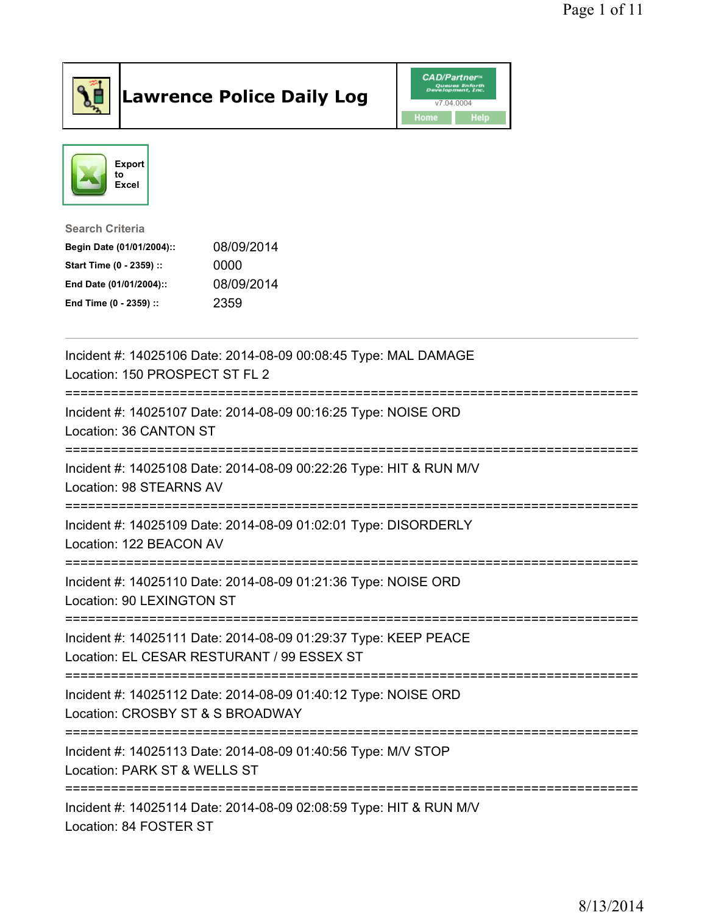

## Lawrence Police Daily Log **Daniel CAD/Partner**





Search Criteria Begin Date (01/01/2004):: 08/09/2014 Start Time (0 - 2359) :: 0000 End Date (01/01/2004):: 08/09/2014 End Time (0 - 2359) :: 2359

| Incident #: 14025106 Date: 2014-08-09 00:08:45 Type: MAL DAMAGE<br>Location: 150 PROSPECT ST FL 2                                                         |
|-----------------------------------------------------------------------------------------------------------------------------------------------------------|
| Incident #: 14025107 Date: 2014-08-09 00:16:25 Type: NOISE ORD<br>Location: 36 CANTON ST<br>====================================<br>--------------------- |
| Incident #: 14025108 Date: 2014-08-09 00:22:26 Type: HIT & RUN M/V<br>Location: 98 STEARNS AV                                                             |
| Incident #: 14025109 Date: 2014-08-09 01:02:01 Type: DISORDERLY<br>Location: 122 BEACON AV                                                                |
| Incident #: 14025110 Date: 2014-08-09 01:21:36 Type: NOISE ORD<br>Location: 90 LEXINGTON ST                                                               |
| Incident #: 14025111 Date: 2014-08-09 01:29:37 Type: KEEP PEACE<br>Location: EL CESAR RESTURANT / 99 ESSEX ST                                             |
| Incident #: 14025112 Date: 2014-08-09 01:40:12 Type: NOISE ORD<br>Location: CROSBY ST & S BROADWAY                                                        |
| Incident #: 14025113 Date: 2014-08-09 01:40:56 Type: M/V STOP<br>Location: PARK ST & WELLS ST                                                             |
| Incident #: 14025114 Date: 2014-08-09 02:08:59 Type: HIT & RUN M/V<br>Location: 84 FOSTER ST                                                              |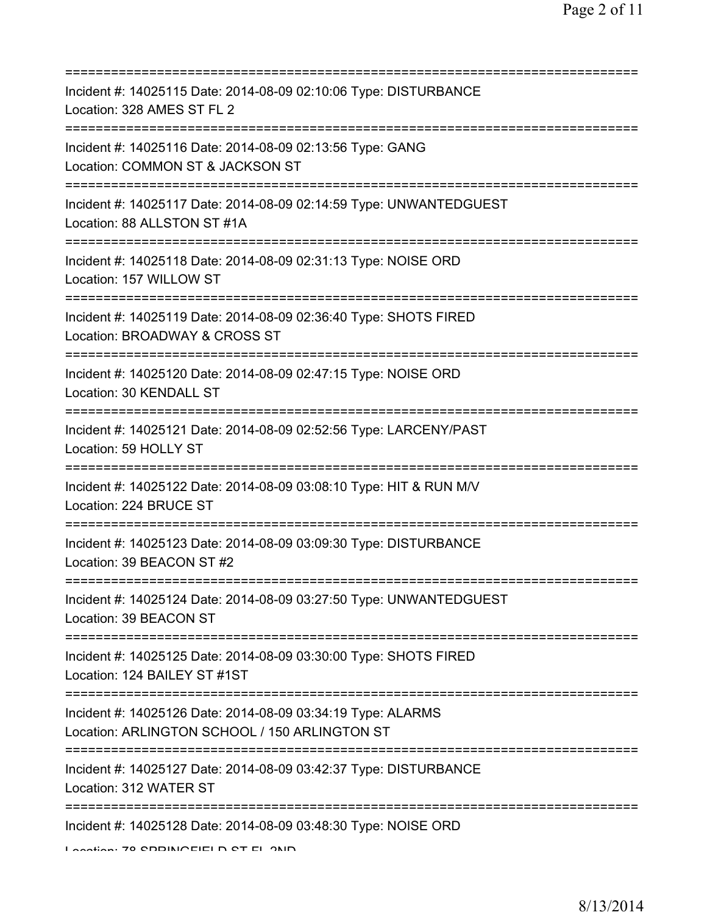| Incident #: 14025115 Date: 2014-08-09 02:10:06 Type: DISTURBANCE<br>Location: 328 AMES ST FL 2<br>===============================                   |
|-----------------------------------------------------------------------------------------------------------------------------------------------------|
| Incident #: 14025116 Date: 2014-08-09 02:13:56 Type: GANG<br>Location: COMMON ST & JACKSON ST                                                       |
| Incident #: 14025117 Date: 2014-08-09 02:14:59 Type: UNWANTEDGUEST<br>Location: 88 ALLSTON ST #1A<br>=====================                          |
| Incident #: 14025118 Date: 2014-08-09 02:31:13 Type: NOISE ORD<br>Location: 157 WILLOW ST                                                           |
| Incident #: 14025119 Date: 2014-08-09 02:36:40 Type: SHOTS FIRED<br>Location: BROADWAY & CROSS ST                                                   |
| Incident #: 14025120 Date: 2014-08-09 02:47:15 Type: NOISE ORD<br>Location: 30 KENDALL ST                                                           |
| Incident #: 14025121 Date: 2014-08-09 02:52:56 Type: LARCENY/PAST<br>Location: 59 HOLLY ST                                                          |
| Incident #: 14025122 Date: 2014-08-09 03:08:10 Type: HIT & RUN M/V<br>Location: 224 BRUCE ST                                                        |
| Incident #: 14025123 Date: 2014-08-09 03:09:30 Type: DISTURBANCE<br>Location: 39 BEACON ST #2                                                       |
| Incident #: 14025124 Date: 2014-08-09 03:27:50 Type: UNWANTEDGUEST<br>Location: 39 BEACON ST                                                        |
| Incident #: 14025125 Date: 2014-08-09 03:30:00 Type: SHOTS FIRED<br>Location: 124 BAILEY ST #1ST                                                    |
| ===================================<br>Incident #: 14025126 Date: 2014-08-09 03:34:19 Type: ALARMS<br>Location: ARLINGTON SCHOOL / 150 ARLINGTON ST |
| Incident #: 14025127 Date: 2014-08-09 03:42:37 Type: DISTURBANCE<br>Location: 312 WATER ST                                                          |
| Incident #: 14025128 Date: 2014-08-09 03:48:30 Type: NOISE ORD<br>Lootion: 70 CODINOEIELD CT EL OND                                                 |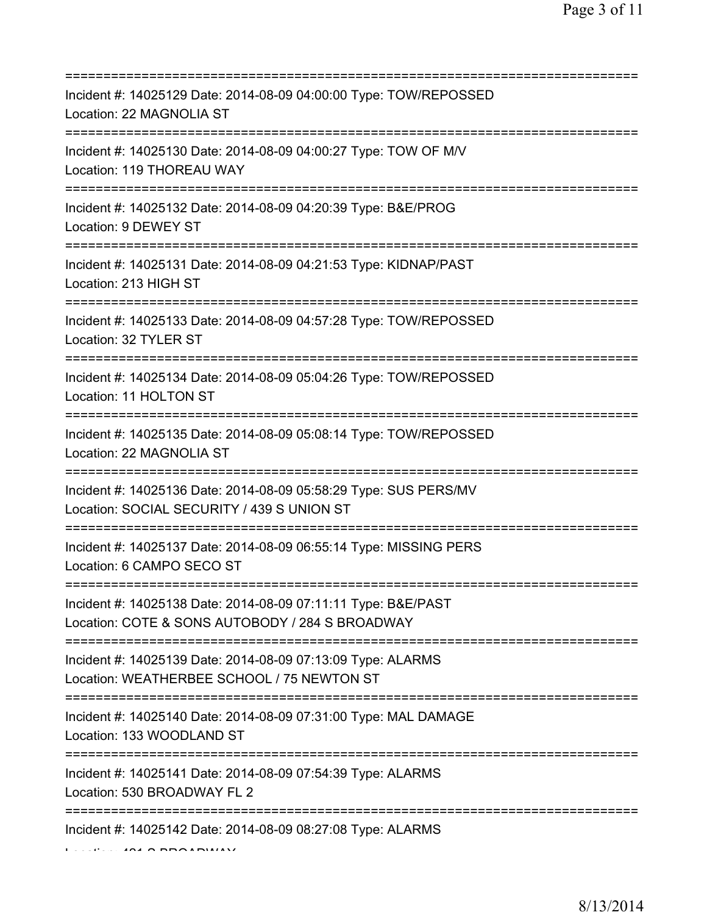| Incident #: 14025129 Date: 2014-08-09 04:00:00 Type: TOW/REPOSSED<br>Location: 22 MAGNOLIA ST                                                      |
|----------------------------------------------------------------------------------------------------------------------------------------------------|
| Incident #: 14025130 Date: 2014-08-09 04:00:27 Type: TOW OF M/V<br>Location: 119 THOREAU WAY                                                       |
| Incident #: 14025132 Date: 2014-08-09 04:20:39 Type: B&E/PROG<br>Location: 9 DEWEY ST                                                              |
| Incident #: 14025131 Date: 2014-08-09 04:21:53 Type: KIDNAP/PAST<br>Location: 213 HIGH ST                                                          |
| Incident #: 14025133 Date: 2014-08-09 04:57:28 Type: TOW/REPOSSED<br>Location: 32 TYLER ST<br>================================                     |
| Incident #: 14025134 Date: 2014-08-09 05:04:26 Type: TOW/REPOSSED<br>Location: 11 HOLTON ST                                                        |
| Incident #: 14025135 Date: 2014-08-09 05:08:14 Type: TOW/REPOSSED<br>Location: 22 MAGNOLIA ST                                                      |
| :===============================<br>Incident #: 14025136 Date: 2014-08-09 05:58:29 Type: SUS PERS/MV<br>Location: SOCIAL SECURITY / 439 S UNION ST |
| Incident #: 14025137 Date: 2014-08-09 06:55:14 Type: MISSING PERS<br>Location: 6 CAMPO SECO ST                                                     |
| Incident #: 14025138 Date: 2014-08-09 07:11:11 Type: B&E/PAST<br>Location: COTE & SONS AUTOBODY / 284 S BROADWAY                                   |
| Incident #: 14025139 Date: 2014-08-09 07:13:09 Type: ALARMS<br>Location: WEATHERBEE SCHOOL / 75 NEWTON ST                                          |
| Incident #: 14025140 Date: 2014-08-09 07:31:00 Type: MAL DAMAGE<br>Location: 133 WOODLAND ST                                                       |
| Incident #: 14025141 Date: 2014-08-09 07:54:39 Type: ALARMS<br>Location: 530 BROADWAY FL 2                                                         |
| Incident #: 14025142 Date: 2014-08-09 08:27:08 Type: ALARMS                                                                                        |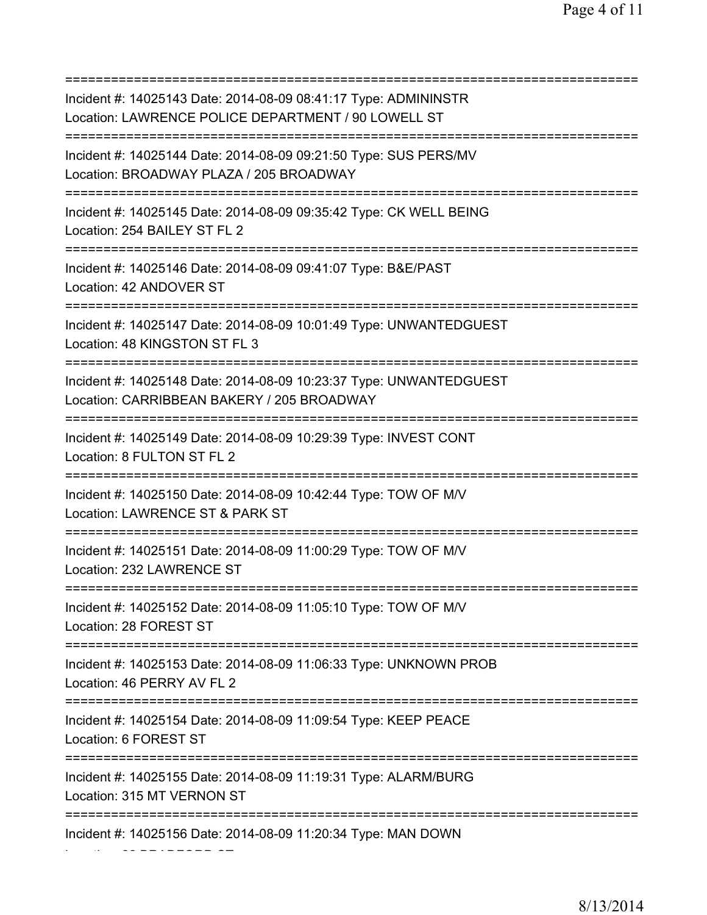| Incident #: 14025143 Date: 2014-08-09 08:41:17 Type: ADMININSTR<br>Location: LAWRENCE POLICE DEPARTMENT / 90 LOWELL ST                     |
|--------------------------------------------------------------------------------------------------------------------------------------------|
| Incident #: 14025144 Date: 2014-08-09 09:21:50 Type: SUS PERS/MV<br>Location: BROADWAY PLAZA / 205 BROADWAY                                |
| Incident #: 14025145 Date: 2014-08-09 09:35:42 Type: CK WELL BEING<br>Location: 254 BAILEY ST FL 2<br>==================================== |
| Incident #: 14025146 Date: 2014-08-09 09:41:07 Type: B&E/PAST<br>Location: 42 ANDOVER ST<br>;===============================               |
| Incident #: 14025147 Date: 2014-08-09 10:01:49 Type: UNWANTEDGUEST<br>Location: 48 KINGSTON ST FL 3                                        |
| Incident #: 14025148 Date: 2014-08-09 10:23:37 Type: UNWANTEDGUEST<br>Location: CARRIBBEAN BAKERY / 205 BROADWAY                           |
| Incident #: 14025149 Date: 2014-08-09 10:29:39 Type: INVEST CONT<br>Location: 8 FULTON ST FL 2                                             |
| Incident #: 14025150 Date: 2014-08-09 10:42:44 Type: TOW OF M/V<br>Location: LAWRENCE ST & PARK ST                                         |
| Incident #: 14025151 Date: 2014-08-09 11:00:29 Type: TOW OF M/V<br>Location: 232 LAWRENCE ST                                               |
| Incident #: 14025152 Date: 2014-08-09 11:05:10 Type: TOW OF M/V<br>Location: 28 FOREST ST                                                  |
| Incident #: 14025153 Date: 2014-08-09 11:06:33 Type: UNKNOWN PROB<br>Location: 46 PERRY AV FL 2                                            |
| Incident #: 14025154 Date: 2014-08-09 11:09:54 Type: KEEP PEACE<br>Location: 6 FOREST ST                                                   |
| Incident #: 14025155 Date: 2014-08-09 11:19:31 Type: ALARM/BURG<br>Location: 315 MT VERNON ST                                              |
| Incident #: 14025156 Date: 2014-08-09 11:20:34 Type: MAN DOWN                                                                              |

Location: 82 BRADFORD ST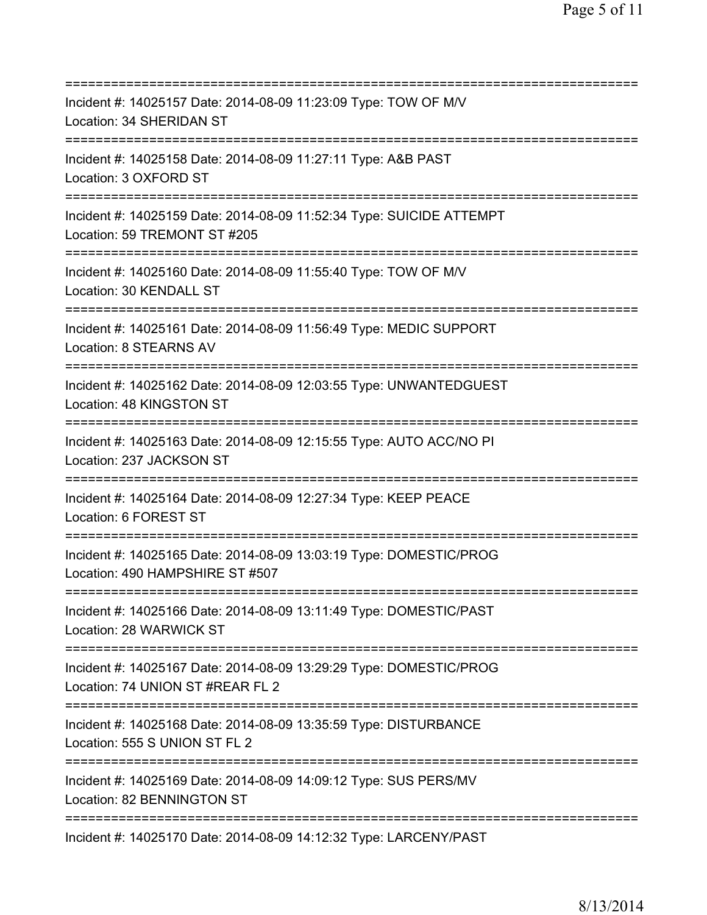| Incident #: 14025157 Date: 2014-08-09 11:23:09 Type: TOW OF M/V<br>Location: 34 SHERIDAN ST                                           |
|---------------------------------------------------------------------------------------------------------------------------------------|
| Incident #: 14025158 Date: 2014-08-09 11:27:11 Type: A&B PAST<br>Location: 3 OXFORD ST                                                |
| Incident #: 14025159 Date: 2014-08-09 11:52:34 Type: SUICIDE ATTEMPT<br>Location: 59 TREMONT ST #205                                  |
| Incident #: 14025160 Date: 2014-08-09 11:55:40 Type: TOW OF M/V<br>Location: 30 KENDALL ST<br>======================================  |
| Incident #: 14025161 Date: 2014-08-09 11:56:49 Type: MEDIC SUPPORT<br>Location: 8 STEARNS AV<br>===================================== |
| Incident #: 14025162 Date: 2014-08-09 12:03:55 Type: UNWANTEDGUEST<br>Location: 48 KINGSTON ST                                        |
| Incident #: 14025163 Date: 2014-08-09 12:15:55 Type: AUTO ACC/NO PI<br>Location: 237 JACKSON ST                                       |
| Incident #: 14025164 Date: 2014-08-09 12:27:34 Type: KEEP PEACE<br>Location: 6 FOREST ST                                              |
| Incident #: 14025165 Date: 2014-08-09 13:03:19 Type: DOMESTIC/PROG<br>Location: 490 HAMPSHIRE ST #507                                 |
| Incident #: 14025166 Date: 2014-08-09 13:11:49 Type: DOMESTIC/PAST<br>Location: 28 WARWICK ST                                         |
| Incident #: 14025167 Date: 2014-08-09 13:29:29 Type: DOMESTIC/PROG<br>Location: 74 UNION ST #REAR FL 2<br>=========================== |
| Incident #: 14025168 Date: 2014-08-09 13:35:59 Type: DISTURBANCE<br>Location: 555 S UNION ST FL 2                                     |
| Incident #: 14025169 Date: 2014-08-09 14:09:12 Type: SUS PERS/MV<br>Location: 82 BENNINGTON ST                                        |
| Incident #: 14025170 Date: 2014-08-09 14:12:32 Type: LARCENY/PAST                                                                     |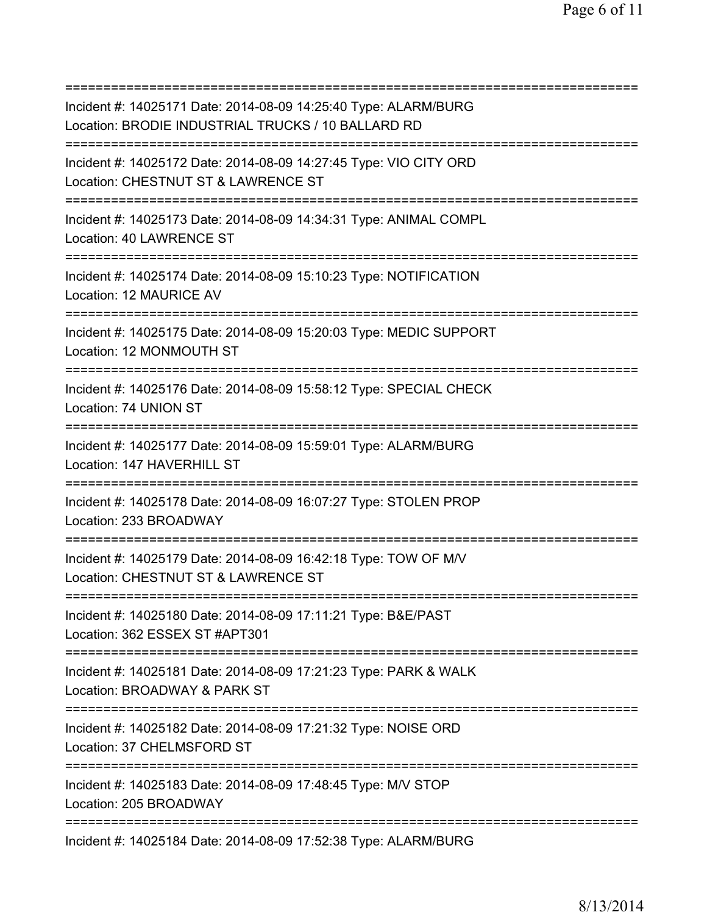=========================================================================== Incident #: 14025171 Date: 2014-08-09 14:25:40 Type: ALARM/BURG Location: BRODIE INDUSTRIAL TRUCKS / 10 BALLARD RD =========================================================================== Incident #: 14025172 Date: 2014-08-09 14:27:45 Type: VIO CITY ORD Location: CHESTNUT ST & LAWRENCE ST =========================================================================== Incident #: 14025173 Date: 2014-08-09 14:34:31 Type: ANIMAL COMPL Location: 40 LAWRENCE ST =========================================================================== Incident #: 14025174 Date: 2014-08-09 15:10:23 Type: NOTIFICATION Location: 12 MAURICE AV =========================================================================== Incident #: 14025175 Date: 2014-08-09 15:20:03 Type: MEDIC SUPPORT Location: 12 MONMOUTH ST =========================================================================== Incident #: 14025176 Date: 2014-08-09 15:58:12 Type: SPECIAL CHECK Location: 74 UNION ST =========================================================================== Incident #: 14025177 Date: 2014-08-09 15:59:01 Type: ALARM/BURG Location: 147 HAVERHILL ST =========================================================================== Incident #: 14025178 Date: 2014-08-09 16:07:27 Type: STOLEN PROP Location: 233 BROADWAY =========================================================================== Incident #: 14025179 Date: 2014-08-09 16:42:18 Type: TOW OF M/V Location: CHESTNUT ST & LAWRENCE ST =========================================================================== Incident #: 14025180 Date: 2014-08-09 17:11:21 Type: B&E/PAST Location: 362 ESSEX ST #APT301 =========================================================================== Incident #: 14025181 Date: 2014-08-09 17:21:23 Type: PARK & WALK Location: BROADWAY & PARK ST =========================================================================== Incident #: 14025182 Date: 2014-08-09 17:21:32 Type: NOISE ORD Location: 37 CHELMSFORD ST =========================================================================== Incident #: 14025183 Date: 2014-08-09 17:48:45 Type: M/V STOP Location: 205 BROADWAY =========================================================================== Incident #: 14025184 Date: 2014-08-09 17:52:38 Type: ALARM/BURG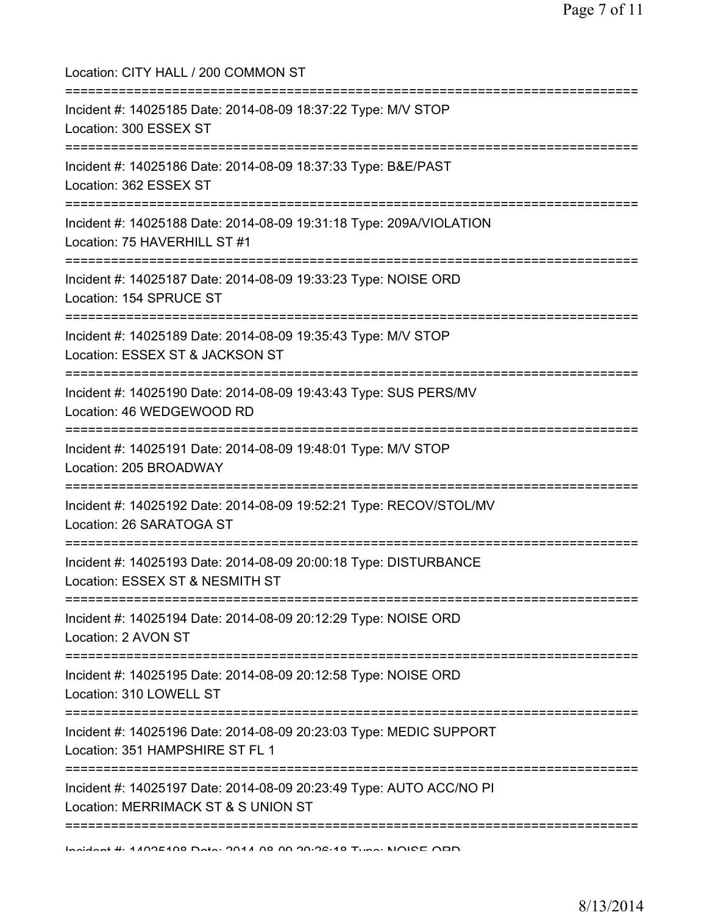| Location: CITY HALL / 200 COMMON ST<br>=====================================                                                   |
|--------------------------------------------------------------------------------------------------------------------------------|
| Incident #: 14025185 Date: 2014-08-09 18:37:22 Type: M/V STOP<br>Location: 300 ESSEX ST<br>=======================             |
| Incident #: 14025186 Date: 2014-08-09 18:37:33 Type: B&E/PAST<br>Location: 362 ESSEX ST                                        |
| Incident #: 14025188 Date: 2014-08-09 19:31:18 Type: 209A/VIOLATION<br>Location: 75 HAVERHILL ST #1                            |
| Incident #: 14025187 Date: 2014-08-09 19:33:23 Type: NOISE ORD<br>Location: 154 SPRUCE ST                                      |
| Incident #: 14025189 Date: 2014-08-09 19:35:43 Type: M/V STOP<br>Location: ESSEX ST & JACKSON ST                               |
| Incident #: 14025190 Date: 2014-08-09 19:43:43 Type: SUS PERS/MV<br>Location: 46 WEDGEWOOD RD                                  |
| Incident #: 14025191 Date: 2014-08-09 19:48:01 Type: M/V STOP<br>Location: 205 BROADWAY                                        |
| Incident #: 14025192 Date: 2014-08-09 19:52:21 Type: RECOV/STOL/MV<br>Location: 26 SARATOGA ST                                 |
| Incident #: 14025193 Date: 2014-08-09 20:00:18 Type: DISTURBANCE<br>Location: ESSEX ST & NESMITH ST                            |
| Incident #: 14025194 Date: 2014-08-09 20:12:29 Type: NOISE ORD<br>Location: 2 AVON ST                                          |
| Incident #: 14025195 Date: 2014-08-09 20:12:58 Type: NOISE ORD<br>Location: 310 LOWELL ST                                      |
| Incident #: 14025196 Date: 2014-08-09 20:23:03 Type: MEDIC SUPPORT<br>Location: 351 HAMPSHIRE ST FL 1                          |
| ================<br>Incident #: 14025197 Date: 2014-08-09 20:23:49 Type: AUTO ACC/NO PI<br>Location: MERRIMACK ST & S UNION ST |
|                                                                                                                                |

Incident #: 14025198 Date: 2014 08 09 20:26:18 Type: NOISE ORD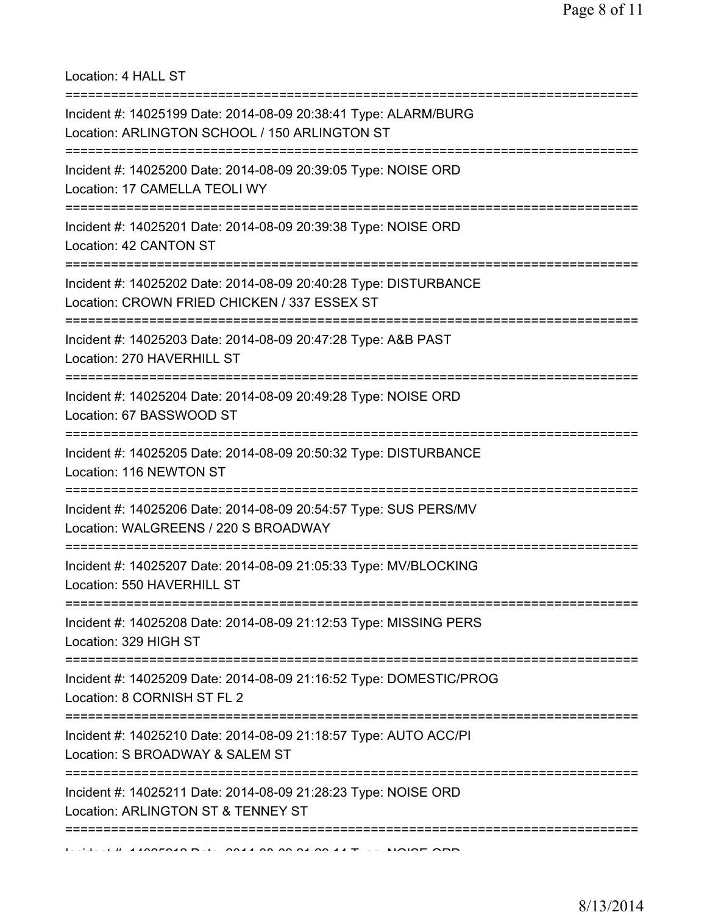Location: 4 HALL ST

| Incident #: 14025199 Date: 2014-08-09 20:38:41 Type: ALARM/BURG<br>Location: ARLINGTON SCHOOL / 150 ARLINGTON ST                           |
|--------------------------------------------------------------------------------------------------------------------------------------------|
| Incident #: 14025200 Date: 2014-08-09 20:39:05 Type: NOISE ORD<br>Location: 17 CAMELLA TEOLI WY<br>======================================  |
| Incident #: 14025201 Date: 2014-08-09 20:39:38 Type: NOISE ORD<br>Location: 42 CANTON ST<br>=================================              |
| Incident #: 14025202 Date: 2014-08-09 20:40:28 Type: DISTURBANCE<br>Location: CROWN FRIED CHICKEN / 337 ESSEX ST<br>---------------------- |
| Incident #: 14025203 Date: 2014-08-09 20:47:28 Type: A&B PAST<br>Location: 270 HAVERHILL ST                                                |
| Incident #: 14025204 Date: 2014-08-09 20:49:28 Type: NOISE ORD<br>Location: 67 BASSWOOD ST                                                 |
| Incident #: 14025205 Date: 2014-08-09 20:50:32 Type: DISTURBANCE<br>Location: 116 NEWTON ST                                                |
| Incident #: 14025206 Date: 2014-08-09 20:54:57 Type: SUS PERS/MV<br>Location: WALGREENS / 220 S BROADWAY                                   |
| Incident #: 14025207 Date: 2014-08-09 21:05:33 Type: MV/BLOCKING<br>Location: 550 HAVERHILL ST                                             |
| Incident #: 14025208 Date: 2014-08-09 21:12:53 Type: MISSING PERS<br>Location: 329 HIGH ST                                                 |
| Incident #: 14025209 Date: 2014-08-09 21:16:52 Type: DOMESTIC/PROG<br>Location: 8 CORNISH ST FL 2                                          |
| Incident #: 14025210 Date: 2014-08-09 21:18:57 Type: AUTO ACC/PI<br>Location: S BROADWAY & SALEM ST                                        |
| Incident #: 14025211 Date: 2014-08-09 21:28:23 Type: NOISE ORD<br>Location: ARLINGTON ST & TENNEY ST                                       |
|                                                                                                                                            |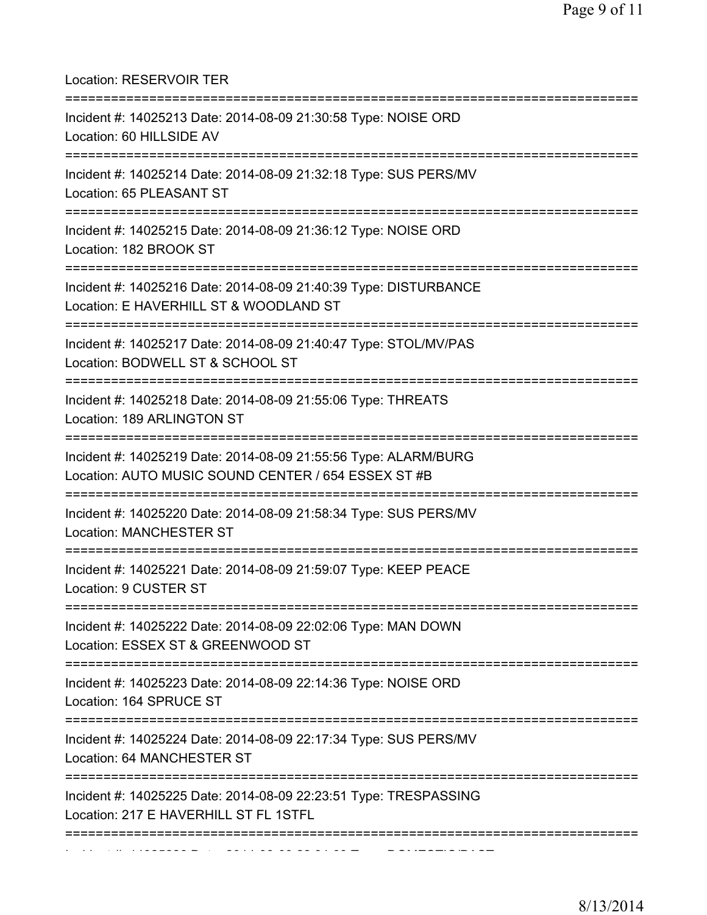| Location: RESERVOIR TER                                                                                                                    |
|--------------------------------------------------------------------------------------------------------------------------------------------|
| Incident #: 14025213 Date: 2014-08-09 21:30:58 Type: NOISE ORD<br>Location: 60 HILLSIDE AV                                                 |
| Incident #: 14025214 Date: 2014-08-09 21:32:18 Type: SUS PERS/MV<br>Location: 65 PLEASANT ST                                               |
| Incident #: 14025215 Date: 2014-08-09 21:36:12 Type: NOISE ORD<br>Location: 182 BROOK ST                                                   |
| Incident #: 14025216 Date: 2014-08-09 21:40:39 Type: DISTURBANCE<br>Location: E HAVERHILL ST & WOODLAND ST                                 |
| Incident #: 14025217 Date: 2014-08-09 21:40:47 Type: STOL/MV/PAS<br>Location: BODWELL ST & SCHOOL ST                                       |
| Incident #: 14025218 Date: 2014-08-09 21:55:06 Type: THREATS<br>Location: 189 ARLINGTON ST                                                 |
| Incident #: 14025219 Date: 2014-08-09 21:55:56 Type: ALARM/BURG<br>Location: AUTO MUSIC SOUND CENTER / 654 ESSEX ST #B<br>:=============== |
| Incident #: 14025220 Date: 2014-08-09 21:58:34 Type: SUS PERS/MV<br><b>Location: MANCHESTER ST</b>                                         |
| Incident #: 14025221 Date: 2014-08-09 21:59:07 Type: KEEP PEACE<br>Location: 9 CUSTER ST                                                   |
| Incident #: 14025222 Date: 2014-08-09 22:02:06 Type: MAN DOWN<br>Location: ESSEX ST & GREENWOOD ST                                         |
| Incident #: 14025223 Date: 2014-08-09 22:14:36 Type: NOISE ORD<br>Location: 164 SPRUCE ST                                                  |
| Incident #: 14025224 Date: 2014-08-09 22:17:34 Type: SUS PERS/MV<br>Location: 64 MANCHESTER ST                                             |
| Incident #: 14025225 Date: 2014-08-09 22:23:51 Type: TRESPASSING<br>Location: 217 E HAVERHILL ST FL 1STFL                                  |
|                                                                                                                                            |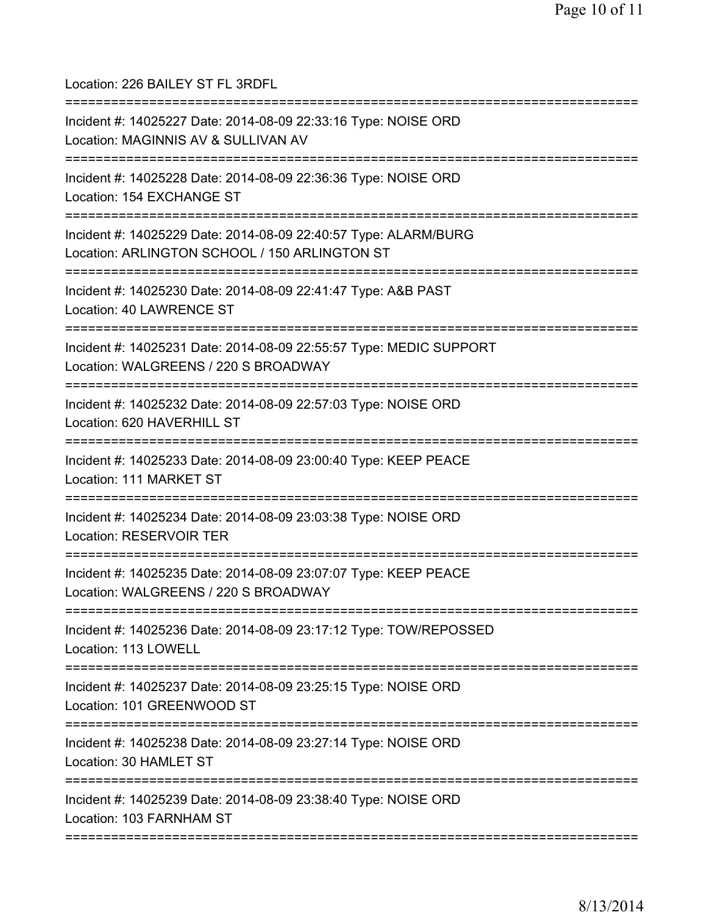Location: 226 BAILEY ST FL 3RDFL =========================================================================== Incident #: 14025227 Date: 2014-08-09 22:33:16 Type: NOISE ORD Location: MAGINNIS AV & SULLIVAN AV =========================================================================== Incident #: 14025228 Date: 2014-08-09 22:36:36 Type: NOISE ORD Location: 154 EXCHANGE ST =========================================================================== Incident #: 14025229 Date: 2014-08-09 22:40:57 Type: ALARM/BURG Location: ARLINGTON SCHOOL / 150 ARLINGTON ST =========================================================================== Incident #: 14025230 Date: 2014-08-09 22:41:47 Type: A&B PAST Location: 40 LAWRENCE ST =========================================================================== Incident #: 14025231 Date: 2014-08-09 22:55:57 Type: MEDIC SUPPORT Location: WALGREENS / 220 S BROADWAY =========================================================================== Incident #: 14025232 Date: 2014-08-09 22:57:03 Type: NOISE ORD Location: 620 HAVERHILL ST =========================================================================== Incident #: 14025233 Date: 2014-08-09 23:00:40 Type: KEEP PEACE Location: 111 MARKET ST =========================================================================== Incident #: 14025234 Date: 2014-08-09 23:03:38 Type: NOISE ORD Location: RESERVOIR TER =========================================================================== Incident #: 14025235 Date: 2014-08-09 23:07:07 Type: KEEP PEACE Location: WALGREENS / 220 S BROADWAY =========================================================================== Incident #: 14025236 Date: 2014-08-09 23:17:12 Type: TOW/REPOSSED Location: 113 LOWELL =========================================================================== Incident #: 14025237 Date: 2014-08-09 23:25:15 Type: NOISE ORD Location: 101 GREENWOOD ST =========================================================================== Incident #: 14025238 Date: 2014-08-09 23:27:14 Type: NOISE ORD Location: 30 HAMLET ST =========================================================================== Incident #: 14025239 Date: 2014-08-09 23:38:40 Type: NOISE ORD Location: 103 FARNHAM ST ===========================================================================